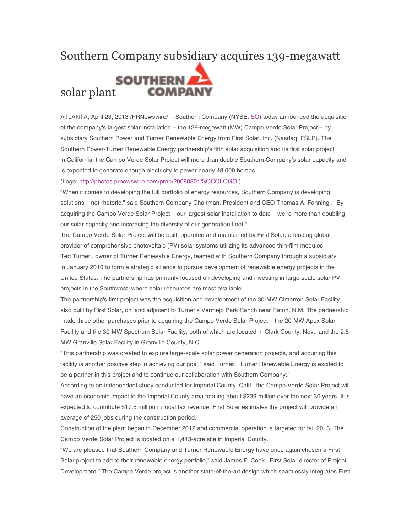## Southern Company subsidiary acquires 139-megawatt



ATLANTA, April 23, 2013 /PRNewswire/ -- Southern Company (NYSE: SO) today announced the acquisition of the company's largest solar installation – the 139-megawatt (MW) Campo Verde Solar Project – by subsidiary Southern Power and Turner Renewable Energy from First Solar, Inc. (Nasdaq: FSLR). The Southern Power-Turner Renewable Energy partnership's fifth solar acquisition and its first solar project in California, the Campo Verde Solar Project will more than double Southern Company's solar capacity and is expected to generate enough electricity to power nearly 48,000 homes.

(Logo: http://photos.prnewswire.com/prnh/20080801/SOCOLOGO )

"When it comes to developing the full portfolio of energy resources, Southern Company is developing solutions – not rhetoric," said Southern Company Chairman, President and CEO Thomas A. Fanning . "By acquiring the Campo Verde Solar Project – our largest solar installation to date – we're more than doubling our solar capacity and increasing the diversity of our generation fleet."

The Campo Verde Solar Project will be built, operated and maintained by First Solar, a leading global provider of comprehensive photovoltaic (PV) solar systems utilizing its advanced thin-film modules. Ted Turner , owner of Turner Renewable Energy, teamed with Southern Company through a subsidiary in January 2010 to form a strategic alliance to pursue development of renewable energy projects in the United States. The partnership has primarily focused on developing and investing in large-scale solar PV projects in the Southwest, where solar resources are most available.

The partnership's first project was the acquisition and development of the 30-MW Cimarron Solar Facility, also built by First Solar, on land adjacent to Turner's Vermejo Park Ranch near Raton, N.M. The partnership made three other purchases prior to acquiring the Campo Verde Solar Project – the 20-MW Apex Solar Facility and the 30-MW Spectrum Solar Facility, both of which are located in Clark County, Nev., and the 2.5- MW Granville Solar Facility in Granville County, N.C.

"This partnership was created to explore large-scale solar power generation projects, and acquiring this facility is another positive step in achieving our goal," said Turner. "Turner Renewable Energy is excited to be a partner in this project and to continue our collaboration with Southern Company."

According to an independent study conducted for Imperial County, Calif., the Campo Verde Solar Project will have an economic impact to the Imperial County area totaling about \$239 million over the next 30 years. It is expected to contribute \$17.5 million in local tax revenue. First Solar estimates the project will provide an average of 250 jobs during the construction period.

Construction of the plant began in December 2012 and commercial operation is targeted for fall 2013. The Campo Verde Solar Project is located on a 1,443-acre site in Imperial County.

"We are pleased that Southern Company and Turner Renewable Energy have once again chosen a First Solar project to add to their renewable energy portfolio," said James F. Cook , First Solar director of Project Development. "The Campo Verde project is another state-of-the-art design which seamlessly integrates First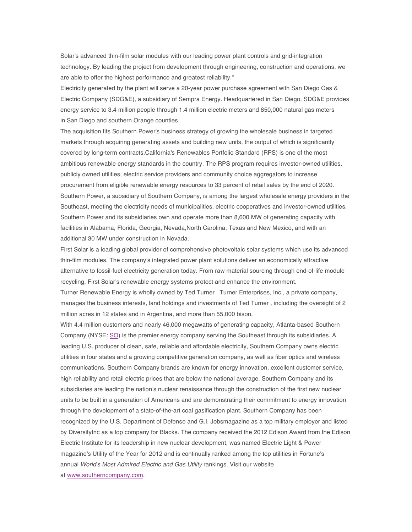Solar's advanced thin-film solar modules with our leading power plant controls and grid-integration technology. By leading the project from development through engineering, construction and operations, we are able to offer the highest performance and greatest reliability."

Electricity generated by the plant will serve a 20-year power purchase agreement with San Diego Gas & Electric Company (SDG&E), a subsidiary of Sempra Energy. Headquartered in San Diego, SDG&E provides energy service to 3.4 million people through 1.4 million electric meters and 850,000 natural gas meters in San Diego and southern Orange counties.

The acquisition fits Southern Power's business strategy of growing the wholesale business in targeted markets through acquiring generating assets and building new units, the output of which is significantly covered by long-term contracts.California's Renewables Portfolio Standard (RPS) is one of the most ambitious renewable energy standards in the country. The RPS program requires investor-owned utilities, publicly owned utilities, electric service providers and community choice aggregators to increase procurement from eligible renewable energy resources to 33 percent of retail sales by the end of 2020. Southern Power, a subsidiary of Southern Company, is among the largest wholesale energy providers in the Southeast, meeting the electricity needs of municipalities, electric cooperatives and investor-owned utilities. Southern Power and its subsidiaries own and operate more than 8,600 MW of generating capacity with facilities in Alabama, Florida, Georgia, Nevada,North Carolina, Texas and New Mexico, and with an additional 30 MW under construction in Nevada.

First Solar is a leading global provider of comprehensive photovoltaic solar systems which use its advanced thin-film modules. The company's integrated power plant solutions deliver an economically attractive alternative to fossil-fuel electricity generation today. From raw material sourcing through end-of-life module recycling, First Solar's renewable energy systems protect and enhance the environment.

Turner Renewable Energy is wholly owned by Ted Turner . Turner Enterprises, Inc., a private company, manages the business interests, land holdings and investments of Ted Turner , including the oversight of 2 million acres in 12 states and in Argentina, and more than 55,000 bison.

With 4.4 million customers and nearly 46,000 megawatts of generating capacity, Atlanta-based Southern Company (NYSE: SO) is the premier energy company serving the Southeast through its subsidiaries. A leading U.S. producer of clean, safe, reliable and affordable electricity, Southern Company owns electric utilities in four states and a growing competitive generation company, as well as fiber optics and wireless communications. Southern Company brands are known for energy innovation, excellent customer service, high reliability and retail electric prices that are below the national average. Southern Company and its subsidiaries are leading the nation's nuclear renaissance through the construction of the first new nuclear units to be built in a generation of Americans and are demonstrating their commitment to energy innovation through the development of a state-of-the-art coal gasification plant. Southern Company has been recognized by the U.S. Department of Defense and G.I. Jobsmagazine as a top military employer and listed by DiversityInc as a top company for Blacks. The company received the 2012 Edison Award from the Edison Electric Institute for its leadership in new nuclear development, was named Electric Light & Power magazine's Utility of the Year for 2012 and is continually ranked among the top utilities in Fortune's annual *World*'*s Most Admired Electric and Gas Utility* rankings. Visit our website at www.southerncompany.com.